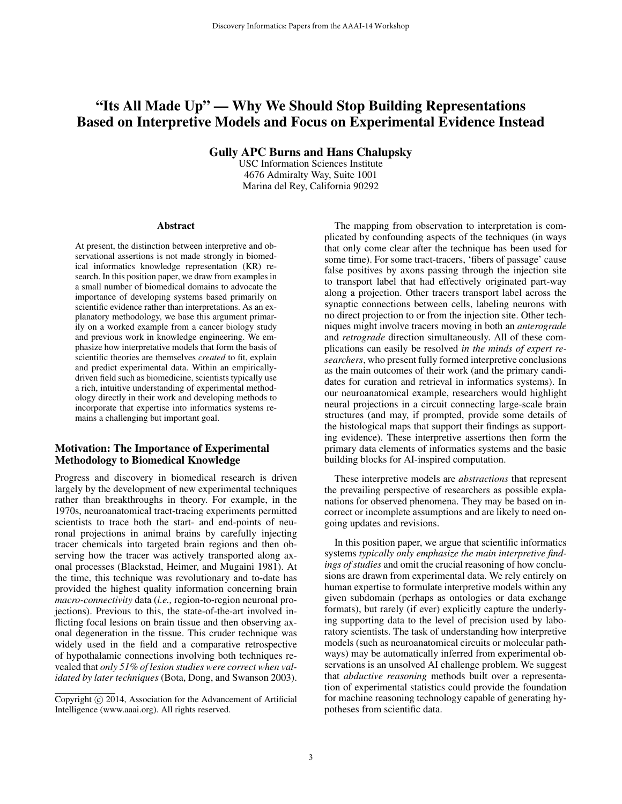# "Its All Made Up" — Why We Should Stop Building Representations Based on Interpretive Models and Focus on Experimental Evidence Instead

Gully APC Burns and Hans Chalupsky

USC Information Sciences Institute 4676 Admiralty Way, Suite 1001 Marina del Rey, California 90292

#### Abstract

At present, the distinction between interpretive and observational assertions is not made strongly in biomedical informatics knowledge representation (KR) research. In this position paper, we draw from examples in a small number of biomedical domains to advocate the importance of developing systems based primarily on scientific evidence rather than interpretations. As an explanatory methodology, we base this argument primarily on a worked example from a cancer biology study and previous work in knowledge engineering. We emphasize how interpretative models that form the basis of scientific theories are themselves *created* to fit, explain and predict experimental data. Within an empiricallydriven field such as biomedicine, scientists typically use a rich, intuitive understanding of experimental methodology directly in their work and developing methods to incorporate that expertise into informatics systems remains a challenging but important goal.

### Motivation: The Importance of Experimental Methodology to Biomedical Knowledge

Progress and discovery in biomedical research is driven largely by the development of new experimental techniques rather than breakthroughs in theory. For example, in the 1970s, neuroanatomical tract-tracing experiments permitted scientists to trace both the start- and end-points of neuronal projections in animal brains by carefully injecting tracer chemicals into targeted brain regions and then observing how the tracer was actively transported along axonal processes (Blackstad, Heimer, and Mugaini 1981). At the time, this technique was revolutionary and to-date has provided the highest quality information concerning brain *macro-connectivity* data (*i.e.,* region-to-region neuronal projections). Previous to this, the state-of-the-art involved inflicting focal lesions on brain tissue and then observing axonal degeneration in the tissue. This cruder technique was widely used in the field and a comparative retrospective of hypothalamic connections involving both techniques revealed that *only 51% of lesion studies were correct when validated by later techniques* (Bota, Dong, and Swanson 2003).

The mapping from observation to interpretation is complicated by confounding aspects of the techniques (in ways that only come clear after the technique has been used for some time). For some tract-tracers, 'fibers of passage' cause false positives by axons passing through the injection site to transport label that had effectively originated part-way along a projection. Other tracers transport label across the synaptic connections between cells, labeling neurons with no direct projection to or from the injection site. Other techniques might involve tracers moving in both an *anterograde* and *retrograde* direction simultaneously. All of these complications can easily be resolved *in the minds of expert researchers*, who present fully formed interpretive conclusions as the main outcomes of their work (and the primary candidates for curation and retrieval in informatics systems). In our neuroanatomical example, researchers would highlight neural projections in a circuit connecting large-scale brain structures (and may, if prompted, provide some details of the histological maps that support their findings as supporting evidence). These interpretive assertions then form the primary data elements of informatics systems and the basic building blocks for AI-inspired computation.

These interpretive models are *abstractions* that represent the prevailing perspective of researchers as possible explanations for observed phenomena. They may be based on incorrect or incomplete assumptions and are likely to need ongoing updates and revisions.

In this position paper, we argue that scientific informatics systems *typically only emphasize the main interpretive findings of studies* and omit the crucial reasoning of how conclusions are drawn from experimental data. We rely entirely on human expertise to formulate interpretive models within any given subdomain (perhaps as ontologies or data exchange formats), but rarely (if ever) explicitly capture the underlying supporting data to the level of precision used by laboratory scientists. The task of understanding how interpretive models (such as neuroanatomical circuits or molecular pathways) may be automatically inferred from experimental observations is an unsolved AI challenge problem. We suggest that *abductive reasoning* methods built over a representation of experimental statistics could provide the foundation for machine reasoning technology capable of generating hypotheses from scientific data.

Copyright  $\odot$  2014, Association for the Advancement of Artificial Intelligence (www.aaai.org). All rights reserved.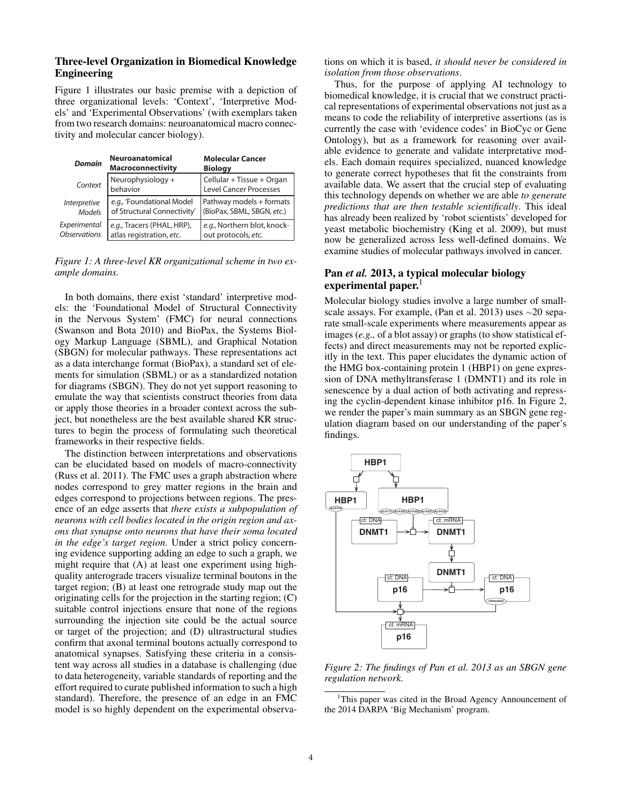# Three-level Organization in Biomedical Knowledge Engineering

Figure 1 illustrates our basic premise with a depiction of three organizational levels: 'Context', 'Interpretive Models' and 'Experimental Observations' (with exemplars taken from two research domains: neuroanatomical macro connectivity and molecular cancer biology).

| <b>Domain</b>       | <b>Neuroanatomical</b><br><b>Macroconnectivity</b> | <b>Molecular Cancer</b><br><b>Biology</b>           |
|---------------------|----------------------------------------------------|-----------------------------------------------------|
| Context             | Neurophysiology +<br>behavior                      | Cellular + Tissue + Organ<br>Level Cancer Processes |
| Interpretive        | e.g., 'Foundational Model                          | Pathway models + formats                            |
| <b>Models</b>       | of Structural Connectivity                         | (BioPax, SBML, SBGN, etc.)                          |
| Experimental        | e.g., Tracers (PHAL, HRP),                         | e.g., Northern blot, knock-                         |
| <b>Observations</b> | atlas registration, etc.                           | out protocols, etc.                                 |

*Figure 1: A three-level KR organizational scheme in two example domains.*

In both domains, there exist 'standard' interpretive models: the 'Foundational Model of Structural Connectivity in the Nervous System' (FMC) for neural connections (Swanson and Bota 2010) and BioPax, the Systems Biology Markup Language (SBML), and Graphical Notation (SBGN) for molecular pathways. These representations act as a data interchange format (BioPax), a standard set of elements for simulation (SBML) or as a standardized notation for diagrams (SBGN). They do not yet support reasoning to emulate the way that scientists construct theories from data or apply those theories in a broader context across the subject, but nonetheless are the best available shared KR structures to begin the process of formulating such theoretical frameworks in their respective fields.

The distinction between interpretations and observations can be elucidated based on models of macro-connectivity (Russ et al. 2011). The FMC uses a graph abstraction where nodes correspond to grey matter regions in the brain and edges correspond to projections between regions. The presence of an edge asserts that *there exists a subpopulation of neurons with cell bodies located in the origin region and axons that synapse onto neurons that have their soma located in the edge's target region*. Under a strict policy concerning evidence supporting adding an edge to such a graph, we might require that (A) at least one experiment using highquality anterograde tracers visualize terminal boutons in the target region; (B) at least one retrograde study map out the originating cells for the projection in the starting region; (C) suitable control injections ensure that none of the regions surrounding the injection site could be the actual source or target of the projection; and (D) ultrastructural studies confirm that axonal terminal boutons actually correspond to anatomical synapses. Satisfying these criteria in a consistent way across all studies in a database is challenging (due to data heterogeneity, variable standards of reporting and the effort required to curate published information to such a high standard). Therefore, the presence of an edge in an FMC model is so highly dependent on the experimental observations on which it is based, *it should never be considered in isolation from those observations*.

Thus, for the purpose of applying AI technology to biomedical knowledge, it is crucial that we construct practical representations of experimental observations not just as a means to code the reliability of interpretive assertions (as is currently the case with 'evidence codes' in BioCyc or Gene Ontology), but as a framework for reasoning over available evidence to generate and validate interpretative models. Each domain requires specialized, nuanced knowledge to generate correct hypotheses that fit the constraints from available data. We assert that the crucial step of evaluating this technology depends on whether we are able *to generate predictions that are then testable scientifically*. This ideal has already been realized by 'robot scientists' developed for yeast metabolic biochemistry (King et al. 2009), but must now be generalized across less well-defined domains. We examine studies of molecular pathways involved in cancer.

# Pan *et al.* 2013, a typical molecular biology experimental paper. $<sup>1</sup>$ </sup>

Molecular biology studies involve a large number of smallscale assays. For example, (Pan et al. 2013) uses  $\sim$ 20 separate small-scale experiments where measurements appear as images (*e.g.,* of a blot assay) or graphs (to show statistical effects) and direct measurements may not be reported explicitly in the text. This paper elucidates the dynamic action of the HMG box-containing protein 1 (HBP1) on gene expression of DNA methyltransferase 1 (DMNT1) and its role in senescence by a dual action of both activating and repressing the cyclin-dependent kinase inhibitor p16. In Figure 2, we render the paper's main summary as an SBGN gene regulation diagram based on our understanding of the paper's findings.



*Figure 2: The findings of Pan et al. 2013 as an SBGN gene regulation network.*

<sup>&</sup>lt;sup>1</sup>This paper was cited in the Broad Agency Announcement of the 2014 DARPA 'Big Mechanism' program.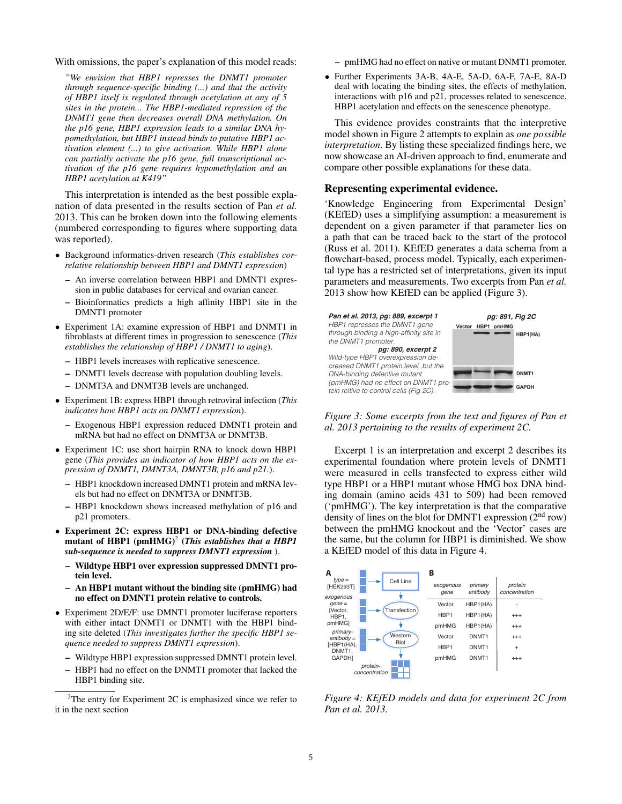With omissions, the paper's explanation of this model reads:

*"We envision that HBP1 represses the DNMT1 promoter through sequence-specific binding (...) and that the activity of HBP1 itself is regulated through acetylation at any of 5 sites in the protein... The HBP1-mediated repression of the DNMT1 gene then decreases overall DNA methylation. On the p16 gene, HBP1 expression leads to a similar DNA hypomethylation, but HBP1 instead binds to putative HBP1 activation element (...) to give activation. While HBP1 alone can partially activate the p16 gene, full transcriptional activation of the p16 gene requires hypomethylation and an HBP1 acetylation at K419"*

This interpretation is intended as the best possible explanation of data presented in the results section of Pan *et al.* 2013. This can be broken down into the following elements (numbered corresponding to figures where supporting data was reported).

- *•* Background informatics-driven research (*This establishes correlative relationship between HBP1 and DMNT1 expression*)
	- An inverse correlation between HBP1 and DMNT1 expression in public databases for cervical and ovarian cancer.
	- Bioinformatics predicts a high affinity HBP1 site in the DMNT1 promoter
- *•* Experiment 1A: examine expression of HBP1 and DNMT1 in fibroblasts at different times in progression to senescence (*This establishes the relationship of HBP1 / DNMT1 to aging*).
	- HBP1 levels increases with replicative senescence.
	- DNMT1 levels decrease with population doubling levels.
	- DNMT3A and DNMT3B levels are unchanged.
- *•* Experiment 1B: express HBP1 through retroviral infection (*This indicates how HBP1 acts on DNMT1 expression*).
	- Exogenous HBP1 expression reduced DMNT1 protein and mRNA but had no effect on DNMT3A or DNMT3B.
- *•* Experiment 1C: use short hairpin RNA to knock down HBP1 gene (*This provides an indicator of how HBP1 acts on the expression of DNMT1, DMNT3A, DMNT3B, p16 and p21.*).
	- HBP1 knockdown increased DMNT1 protein and mRNA levels but had no effect on DNMT3A or DNMT3B.
	- HBP1 knockdown shows increased methylation of p16 and p21 promoters.
- *•* Experiment 2C: express HBP1 or DNA-binding defective mutant of HBP1  $(pmHMG)^2$  (*This establishes that a HBP1 sub-sequence is needed to suppress DMNT1 expression* ).
	- Wildtype HBP1 over expression suppressed DMNT1 protein level.
	- An HBP1 mutant without the binding site (pmHMG) had no effect on DMNT1 protein relative to controls.
- *•* Experiment 2D/E/F: use DMNT1 promoter luciferase reporters with either intact DNMT1 or DNMT1 with the HBP1 binding site deleted (*This investigates further the specific HBP1 sequence needed to suppress DMNT1 expression*).
	- Wildtype HBP1 expression suppressed DMNT1 protein level.
	- HBP1 had no effect on the DNMT1 promoter that lacked the HBP1 binding site.
- pmHMG had no effect on native or mutant DNMT1 promoter.
- *•* Further Experiments 3A-B, 4A-E, 5A-D, 6A-F, 7A-E, 8A-D deal with locating the binding sites, the effects of methylation, interactions with p16 and p21, processes related to senescence, HBP1 acetylation and effects on the senescence phenotype.

This evidence provides constraints that the interpretive model shown in Figure 2 attempts to explain as *one possible interpretation*. By listing these specialized findings here, we now showcase an AI-driven approach to find, enumerate and compare other possible explanations for these data.

# Representing experimental evidence.

'Knowledge Engineering from Experimental Design' (KEfED) uses a simplifying assumption: a measurement is dependent on a given parameter if that parameter lies on a path that can be traced back to the start of the protocol (Russ et al. 2011). KEfED generates a data schema from a flowchart-based, process model. Typically, each experimental type has a restricted set of interpretations, given its input parameters and measurements. Two excerpts from Pan *et al.* 2013 show how KEfED can be applied (Figure 3).



*Figure 3: Some excerpts from the text and figures of Pan et al. 2013 pertaining to the results of experiment 2C.*

Excerpt 1 is an interpretation and excerpt 2 describes its experimental foundation where protein levels of DNMT1 were measured in cells transfected to express either wild type HBP1 or a HBP1 mutant whose HMG box DNA binding domain (amino acids 431 to 509) had been removed ('pmHMG'). The key interpretation is that the comparative density of lines on the blot for DMNT1 expression (2<sup>nd</sup> row) between the pmHMG knockout and the 'Vector' cases are the same, but the column for HBP1 is diminished. We show a KEfED model of this data in Figure 4.



*Figure 4: KEfED models and data for experiment 2C from Pan et al. 2013.*

 $2$ The entry for Experiment 2C is emphasized since we refer to it in the next section